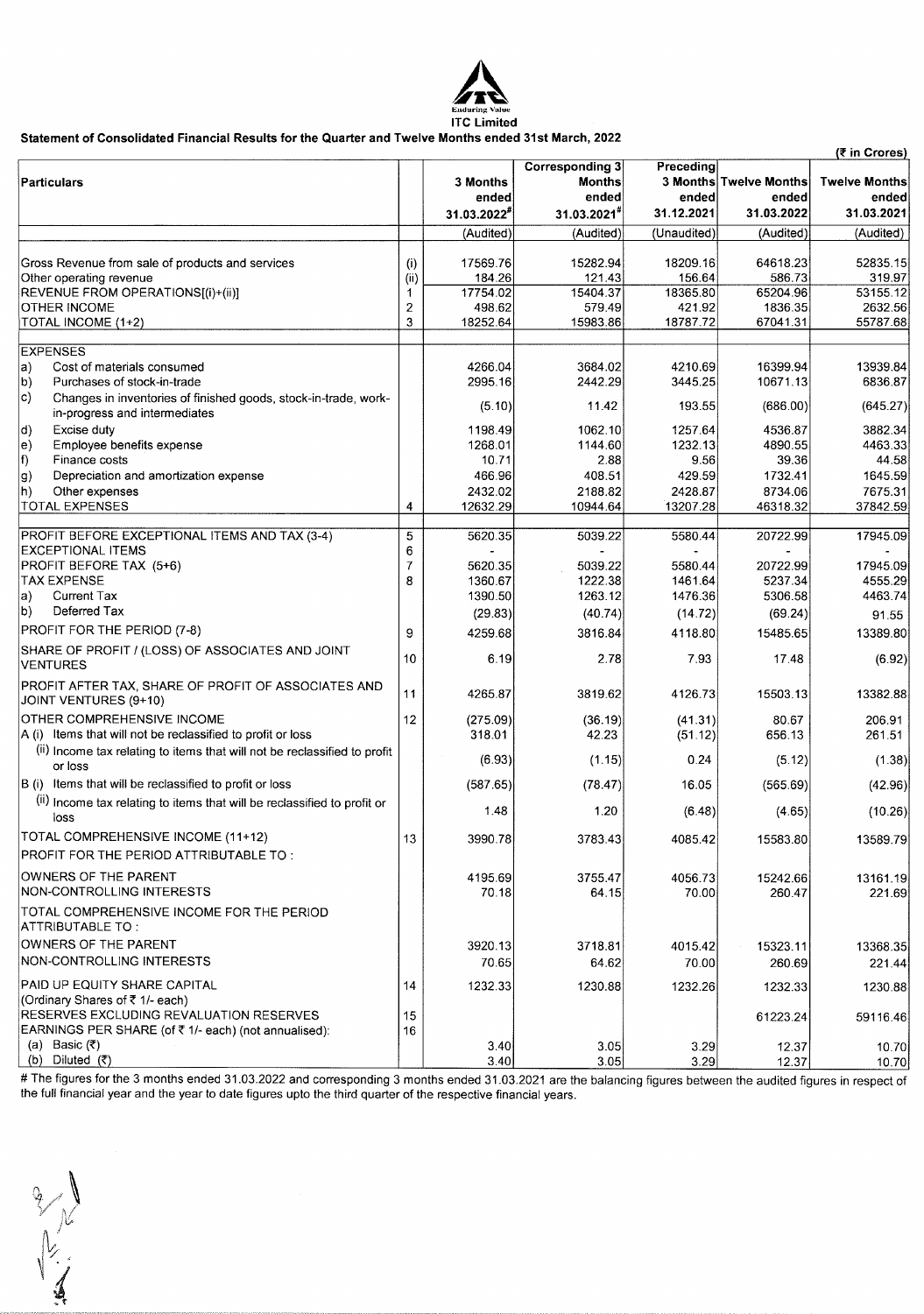

# **Statement of Consolidated Financial Results for the Quarter and Twelve Months ended 31st March, 2022**

|                                                                                  |                |             |                        |             |                        | (₹ in Crores)        |
|----------------------------------------------------------------------------------|----------------|-------------|------------------------|-------------|------------------------|----------------------|
|                                                                                  |                |             | <b>Corresponding 3</b> | Preceding   |                        |                      |
| <b>Particulars</b>                                                               |                | 3 Months    | Months                 |             | 3 Months Twelve Months | <b>Twelve Months</b> |
|                                                                                  |                | ended       | ended                  | ended       | ended                  | ended                |
|                                                                                  |                | 31.03.2022* | 31.03.2021             | 31.12.2021  | 31.03.2022             | 31.03.2021           |
|                                                                                  |                | (Audited)   | (Audited)              | (Unaudited) | (Audited)              | (Audited)            |
| Gross Revenue from sale of products and services                                 | (i)            | 17569.76    | 15282.94               | 18209.16    | 64618.23               | 52835.15             |
| Other operating revenue                                                          | (i)            | 184.26      | 121.43                 | 156.64      | 586.73                 | 319.97               |
| REVENUE FROM OPERATIONS[(i)+(ii)]                                                | 1              | 17754.02    | 15404.37               | 18365.80    | 65204.96               | 53155.12             |
| OTHER INCOME                                                                     | 2              | 498.62      | 579.49                 | 421.92      | 1836.35                | 2632.56              |
| TOTAL INCOME (1+2)                                                               | 3              | 18252.64    | 15983.86               | 18787.72    | 67041.31               | 55787.68             |
|                                                                                  |                |             |                        |             |                        |                      |
| <b>EXPENSES</b>                                                                  |                |             |                        |             |                        |                      |
| Cost of materials consumed<br>a)                                                 |                | 4266.04     | 3684.02                | 4210.69     | 16399.94               | 13939.84             |
| Purchases of stock-in-trade<br>b)                                                |                | 2995.16     | 2442.29                | 3445.25     | 10671.13               | 6836.87              |
| C)<br>Changes in inventories of finished goods, stock-in-trade, work-            |                |             |                        |             |                        |                      |
| in-progress and intermediates                                                    |                | (5.10)      | 11.42                  | 193.55      | (686.00)               | (645.27)             |
| d)<br>Excise duty                                                                |                | 1198.49     | 1062.10                | 1257.64     | 4536.87                | 3882.34              |
| Employee benefits expense<br>$\vert$ e)                                          |                | 1268.01     | 1144.60                | 1232.13     | 4890.55                | 4463.33              |
| f)<br>Finance costs                                                              |                | 10.71       | 2.88                   | 9.56        | 39.36                  | 44.58                |
| Depreciation and amortization expense                                            |                | 466.96      | 408.51                 | 429.59      | 1732.41                | 1645.59              |
| g)                                                                               |                |             |                        |             |                        |                      |
| Other expenses<br>$ h\rangle$                                                    |                | 2432.02     | 2188.82                | 2428.87     | 8734.06                | 7675.31              |
| <b>TOTAL EXPENSES</b>                                                            | 4              | 12632.29    | 10944.64               | 13207.28    | 46318.32               | 37842.59             |
| PROFIT BEFORE EXCEPTIONAL ITEMS AND TAX (3-4)                                    | 5              | 5620.35     | 5039.22                | 5580.44     | 20722.99               | 17945.09             |
| <b>EXCEPTIONAL ITEMS</b>                                                         | 6              |             |                        |             |                        |                      |
| PROFIT BEFORE TAX (5+6)                                                          | $\overline{7}$ | 5620.35     | 5039.22                | 5580.44     | 20722.99               | 17945.09             |
| <b>TAX EXPENSE</b>                                                               | 8              | 1360.67     | 1222.38                | 1461.64     | 5237.34                | 4555.29              |
| Current Tax<br>a)                                                                |                | 1390.50     | 1263.12                | 1476.36     | 5306.58                | 4463.74              |
| Deferred Tax<br>b)                                                               |                |             |                        |             |                        |                      |
|                                                                                  |                | (29.83)     | (40.74)                | (14.72)     | (69.24)                | 91.55                |
| PROFIT FOR THE PERIOD (7-8)                                                      | 9              | 4259.68     | 3816.84                | 4118.80     | 15485.65               | 13389.80             |
| SHARE OF PROFIT / (LOSS) OF ASSOCIATES AND JOINT<br><b>VENTURES</b>              | 10             | 6.19        | 2.78                   | 7.93        | 17.48                  | (6.92)               |
| PROFIT AFTER TAX, SHARE OF PROFIT OF ASSOCIATES AND<br>JOINT VENTURES (9+10)     | 11             | 4265.87     | 3819.62                | 4126.73     | 15503.13               | 13382.88             |
| OTHER COMPREHENSIVE INCOME                                                       | 12             | (275.09)    | (36.19)                | (41.31)     | 80.67                  | 206.91               |
| A (i) Items that will not be reclassified to profit or loss                      |                | 318.01      | 42.23                  | (51.12)     | 656.13                 | 261.51               |
| (ii) Income tax relating to items that will not be reclassified to profit        |                |             |                        |             |                        |                      |
| or loss                                                                          |                | (6.93)      | (1.15)                 | 0.24        | (5.12)                 | (1.38)               |
| B (i) Items that will be reclassified to profit or loss                          |                | (587.65)    | (78.47)                | 16.05       | (565.69)               | (42.96)              |
| (ii) Income tax relating to items that will be reclassified to profit or<br>loss |                | 1.48        | 1.20                   | (6.48)      | (4.65)                 | (10.26)              |
| TOTAL COMPREHENSIVE INCOME (11+12)                                               | 13             | 3990.78     | 3783.43                | 4085.42     | 15583.80               | 13589.79             |
| PROFIT FOR THE PERIOD ATTRIBUTABLE TO:                                           |                |             |                        |             |                        |                      |
| OWNERS OF THE PARENT                                                             |                | 4195.69     | 3755.47                | 4056.73     | 15242.66               | 13161.19             |
| NON-CONTROLLING INTERESTS                                                        |                | 70.18       | 64.15                  | 70.00       | 260.47                 | 221.69               |
| TOTAL COMPREHENSIVE INCOME FOR THE PERIOD<br>ATTRIBUTABLE TO :                   |                |             |                        |             |                        |                      |
| OWNERS OF THE PARENT                                                             |                | 3920.13     | 3718.81                | 4015.42     | 15323.11               | 13368.35             |
| NON-CONTROLLING INTERESTS                                                        |                | 70.65       | 64.62                  | 70.00       | 260.69                 |                      |
|                                                                                  |                |             |                        |             |                        | 221.44               |
| PAID UP EQUITY SHARE CAPITAL                                                     | 14             | 1232.33     | 1230.88                | 1232.26     | 1232.33                | 1230.88              |
| (Ordinary Shares of ₹1/- each)                                                   |                |             |                        |             |                        |                      |
| RESERVES EXCLUDING REVALUATION RESERVES                                          | 15             |             |                        |             | 61223.24               | 59116.46             |
| EARNINGS PER SHARE (of ₹1/- each) (not annualised):                              | 16             |             |                        |             |                        |                      |
| (a) Basic $(\bar{x})$                                                            |                | 3.40        | 3.05                   | 3.29        | 12.37                  | 10.70                |
| (b) Diluted (₹)                                                                  |                | 3.40        | 3.05                   | 3.29        | 12.37                  | 10.70                |

# The figures for the 3 months ended 31.03.2022 and corresponding 3 months ended 31.03.2021 are the balancing figures between the audited figures in respect of the full financial year and the year to date figures upto the third quarter of the respective financial years.

11/2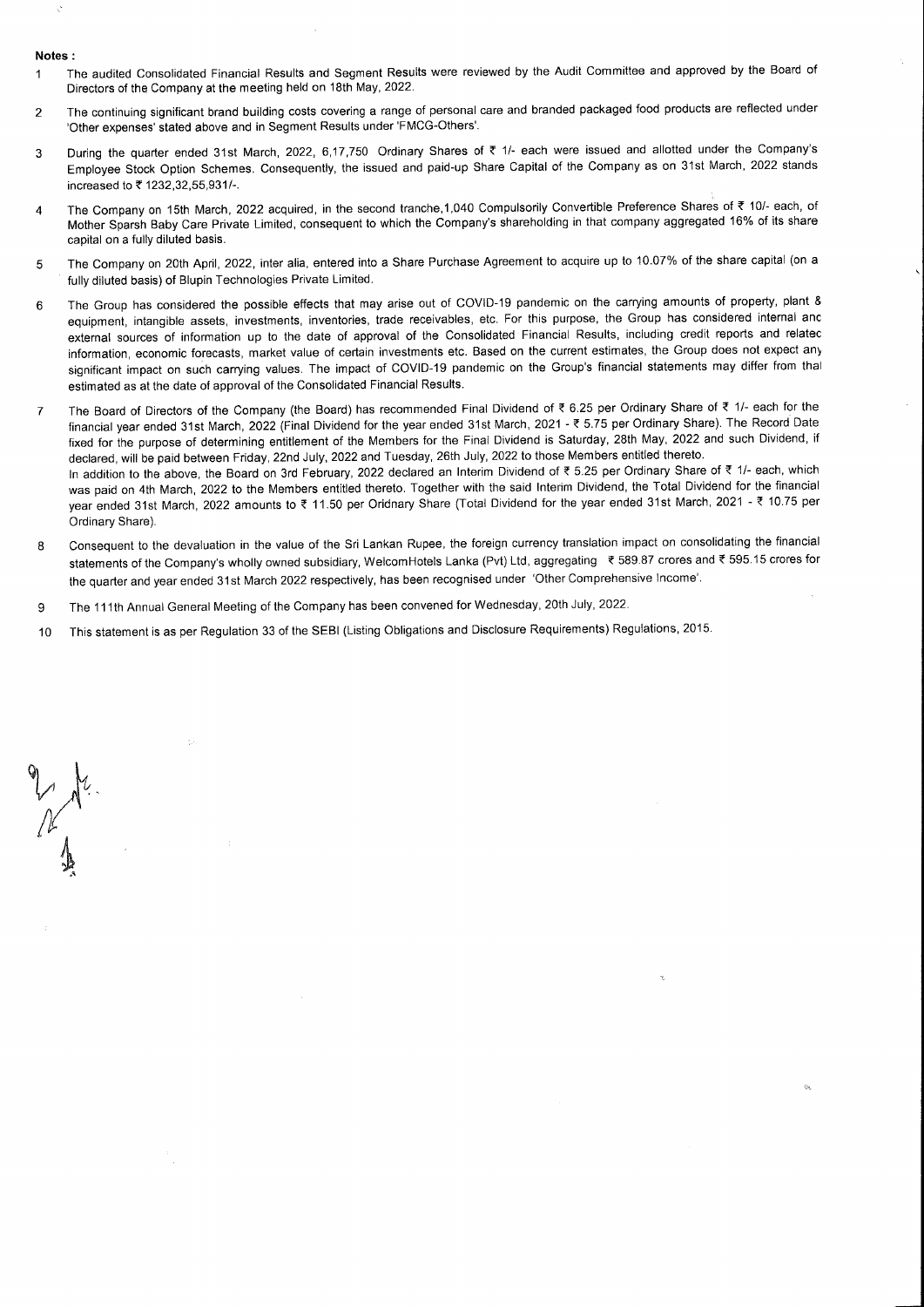#### Notes:

Ŕ

- The audited Consolidated Financial Results and Segment Results were reviewed by the Audit Committee and approved by the Board of  $\overline{1}$ Directors of the Company at the meeting held on 18th May, 2022.
- The continuing significant brand building costs covering a range of personal care and branded packaged food products are reflected under  $\overline{2}$ 'Other expenses' stated above and in Segment Results under 'FMCG-Others'.
- During the quarter ended 31st March, 2022, 6,17,750 Ordinary Shares of ₹ 1/- each were issued and allotted under the Company's  $\overline{3}$ Employee Stock Option Schemes. Consequently, the issued and paid-up Share Capital of the Company as on 31st March, 2022 stands increased to ₹ 1232, 32, 55, 931/-.
- The Company on 15th March, 2022 acquired, in the second tranche,1,040 Compulsorily Convertible Preference Shares of ₹ 10/- each, of  $\overline{A}$ Mother Sparsh Baby Care Private Limited, consequent to which the Company's shareholding in that company aggregated 16% of its share capital on a fully diluted basis.
- The Company on 20th April, 2022, inter alia, entered into a Share Purchase Agreement to acquire up to 10.07% of the share capital (on a 5 fully diluted basis) of Blupin Technologies Private Limited.
- The Group has considered the possible effects that may arise out of COVID-19 pandemic on the carrying amounts of property, plant & 6 equipment, intangible assets, investments, inventories, trade receivables, etc. For this purpose, the Group has considered internal anc external sources of information up to the date of approval of the Consolidated Financial Results, including credit reports and relatec information, economic forecasts, market value of certain investments etc. Based on the current estimates, the Group does not expect any significant impact on such carrying values. The impact of COVID-19 pandemic on the Group's financial statements may differ from thal estimated as at the date of approval of the Consolidated Financial Results.
- The Board of Directors of the Company (the Board) has recommended Final Dividend of ₹ 6.25 per Ordinary Share of ₹ 1/- each for the  $\overline{7}$ financial year ended 31st March, 2022 (Final Dividend for the year ended 31st March, 2021 - ₹ 5.75 per Ordinary Share). The Record Date fixed for the purpose of determining entitlement of the Members for the Final Dividend is Saturday, 28th May, 2022 and such Dividend, if declared, will be paid between Friday, 22nd July, 2022 and Tuesday, 26th July, 2022 to those Members entitled thereto. In addition to the above, the Board on 3rd February, 2022 declared an Interim Dividend of ₹ 5.25 per Ordinary Share of ₹ 1/- each, which was paid on 4th March, 2022 to the Members entitled thereto. Together with the said Interim Dividend, the Total Dividend for the financial year ended 31st March, 2022 amounts to ₹11.50 per Oridnary Share (Total Dividend for the year ended 31st March, 2021 - ₹10.75 per Ordinary Share).
- Consequent to the devaluation in the value of the Sri Lankan Rupee, the foreign currency translation impact on consolidating the financial  $\mathbf{a}$ statements of the Company's wholly owned subsidiary, WelcomHotels Lanka (Pvt) Ltd, aggregating ₹ 589.87 crores and ₹ 595.15 crores for the quarter and year ended 31st March 2022 respectively, has been recognised under 'Other Comprehensive Income'.
- The 111th Annual General Meeting of the Company has been convened for Wednesday, 20th July, 2022. 9
- This statement is as per Regulation 33 of the SEBI (Listing Obligations and Disclosure Requirements) Regulations, 2015. 10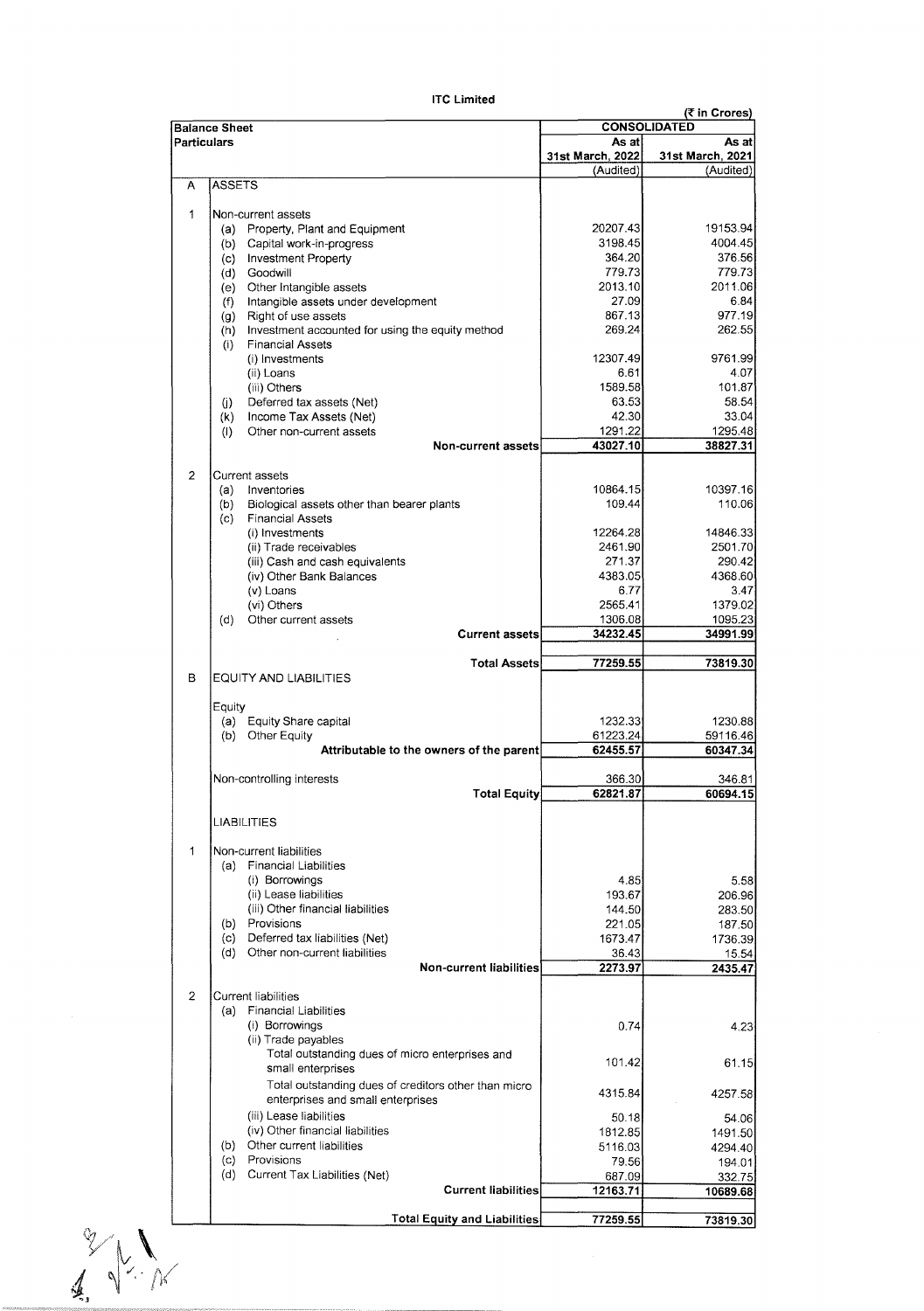|                                       | <b>Balance Sheet</b>                                                   | (₹ in Crores)<br><b>CONSOLIDATED</b> |                   |  |  |
|---------------------------------------|------------------------------------------------------------------------|--------------------------------------|-------------------|--|--|
|                                       | Particulars                                                            | As atl                               | As at             |  |  |
|                                       |                                                                        | 31st March, 2022                     | 31st March, 2021  |  |  |
| А                                     | <b>ASSETS</b>                                                          | (Audited)                            | (Audited)         |  |  |
|                                       |                                                                        |                                      |                   |  |  |
| 1                                     | Non-current assets                                                     |                                      |                   |  |  |
|                                       | (a) Property, Plant and Equipment                                      | 20207.43                             | 19153.94          |  |  |
|                                       | Capital work-in-progress<br>(b)                                        | 3198.45<br>364.20                    | 4004.45<br>376.56 |  |  |
|                                       | (c)<br><b>Investment Property</b>                                      | 779.73                               | 779.73            |  |  |
|                                       | (d)<br>Goodwill                                                        | 2013.10                              | 2011.06           |  |  |
|                                       | Other Intangible assets<br>(e)<br>Intangible assets under development  | 27.09                                | 6.84              |  |  |
|                                       | (f)<br>Right of use assets<br>(g)                                      | 867.13                               | 977.19            |  |  |
|                                       | Investment accounted for using the equity method<br>(h)                | 269.24                               | 262.55            |  |  |
|                                       | <b>Financial Assets</b><br>(i)                                         |                                      |                   |  |  |
|                                       | (i) Investments                                                        | 12307.49                             | 9761 99           |  |  |
|                                       | (ii) Loans                                                             | 6.61                                 | 4.07              |  |  |
|                                       | (iii) Others                                                           | 1589.58                              | 101.87            |  |  |
|                                       | Deferred tax assets (Net)<br>O)                                        | 63.53                                | 58.54             |  |  |
|                                       | Income Tax Assets (Net)<br>(k)                                         | 42.30                                | 33.04             |  |  |
|                                       | Other non-current assets<br>(1)                                        | 1291.22                              | 1295.48           |  |  |
|                                       | Non-current assets                                                     | 43027.10                             | 38827.31          |  |  |
| $\overline{a}$                        |                                                                        |                                      |                   |  |  |
|                                       | Current assets<br>Inventories<br>(a)                                   | 10864.15                             | 10397.16          |  |  |
|                                       | Biological assets other than bearer plants<br>(b)                      | 109.44                               | 110.06            |  |  |
|                                       | (c)<br><b>Financial Assets</b>                                         |                                      |                   |  |  |
|                                       | (i) Investments                                                        | 12264.28                             | 14846.33          |  |  |
|                                       | (ii) Trade receivables                                                 | 2461.90                              | 2501.70           |  |  |
|                                       | (iii) Cash and cash equivalents                                        | 271.37                               | 290.42            |  |  |
|                                       | (iv) Other Bank Balances                                               | 4383.05                              | 4368.60           |  |  |
|                                       | (v) Loans                                                              | 6.77                                 | 3.47              |  |  |
|                                       | (vi) Others                                                            | 2565.41                              | 1379.02           |  |  |
|                                       | (d)<br>Other current assets                                            | 1306.08                              | 1095.23           |  |  |
|                                       | <b>Current assets</b>                                                  | 34232.45                             | 34991.99          |  |  |
|                                       | <b>Total Assets</b>                                                    | 77259.55                             | 73819.30          |  |  |
| в                                     | <b>EQUITY AND LIABILITIES</b>                                          |                                      |                   |  |  |
|                                       | Equity                                                                 |                                      |                   |  |  |
|                                       | (a) Equity Share capital                                               | 1232.33                              | 1230.88           |  |  |
|                                       | (b) Other Equity                                                       | 61223.24                             | 59116.46          |  |  |
|                                       | Attributable to the owners of the parent                               | 62455.57                             | 60347.34          |  |  |
|                                       | Non-controlling interests                                              | 366.30                               | 346.81            |  |  |
|                                       | <b>Total Equity</b>                                                    | 62821.87                             | 60694.15          |  |  |
|                                       | LIABILITIES                                                            |                                      |                   |  |  |
|                                       |                                                                        |                                      |                   |  |  |
| 1                                     | Non-current liabilities                                                |                                      |                   |  |  |
|                                       | (a) Financial Liabilities                                              |                                      |                   |  |  |
|                                       | (i) Borrowings                                                         | 4.85                                 | 5.58              |  |  |
|                                       | (ii) Lease liabilities                                                 | 193.67                               | 206.96            |  |  |
|                                       | (iii) Other financial liabilities                                      | 144.50                               | 283.50            |  |  |
|                                       | Provisions<br>(b)                                                      | 221.05                               | 187.50            |  |  |
|                                       | Deferred tax liabilities (Net)<br>(c)<br>Other non-current liabilities | 1673.47                              | 1736.39           |  |  |
|                                       | (d)<br>Non-current liabilities                                         | 36.43<br>2273.97                     | 15.54<br>2435.47  |  |  |
|                                       |                                                                        |                                      |                   |  |  |
| $\overline{2}$                        | Current liabilities                                                    |                                      |                   |  |  |
|                                       | <b>Financial Liabilities</b><br>(a)                                    |                                      |                   |  |  |
|                                       | (i) Borrowings                                                         | 0.74                                 | 4.23              |  |  |
|                                       | (ii) Trade payables                                                    |                                      |                   |  |  |
|                                       | Total outstanding dues of micro enterprises and<br>small enterprises   | 101.42                               | 61.15             |  |  |
|                                       | Total outstanding dues of creditors other than micro                   |                                      |                   |  |  |
|                                       | enterprises and small enterprises                                      | 4315.84                              | 4257.58           |  |  |
|                                       | (iii) Lease liabilities                                                | 50.18                                | 54.06             |  |  |
|                                       | (iv) Other financial liabilities                                       | 1812.85                              | 1491.50           |  |  |
|                                       | Other current liabilities<br>(b)                                       | 5116.03                              | 4294.40           |  |  |
|                                       | Provisions<br>(c)                                                      | 79.56                                | 194.01            |  |  |
|                                       | (d)<br>Current Tax Liabilities (Net)                                   | 687.09                               | 332.75            |  |  |
|                                       | <b>Current liabilities</b>                                             | 12163.71                             | 10689.68          |  |  |
|                                       | <b>Total Equity and Liabilities</b>                                    | 77259.55                             | 73819.30          |  |  |
|                                       |                                                                        |                                      |                   |  |  |
| $\frac{1}{\sqrt{2}}\int_{0}^{\infty}$ |                                                                        |                                      |                   |  |  |
|                                       |                                                                        |                                      |                   |  |  |
|                                       |                                                                        |                                      |                   |  |  |
|                                       |                                                                        |                                      |                   |  |  |

# **ITC Limited**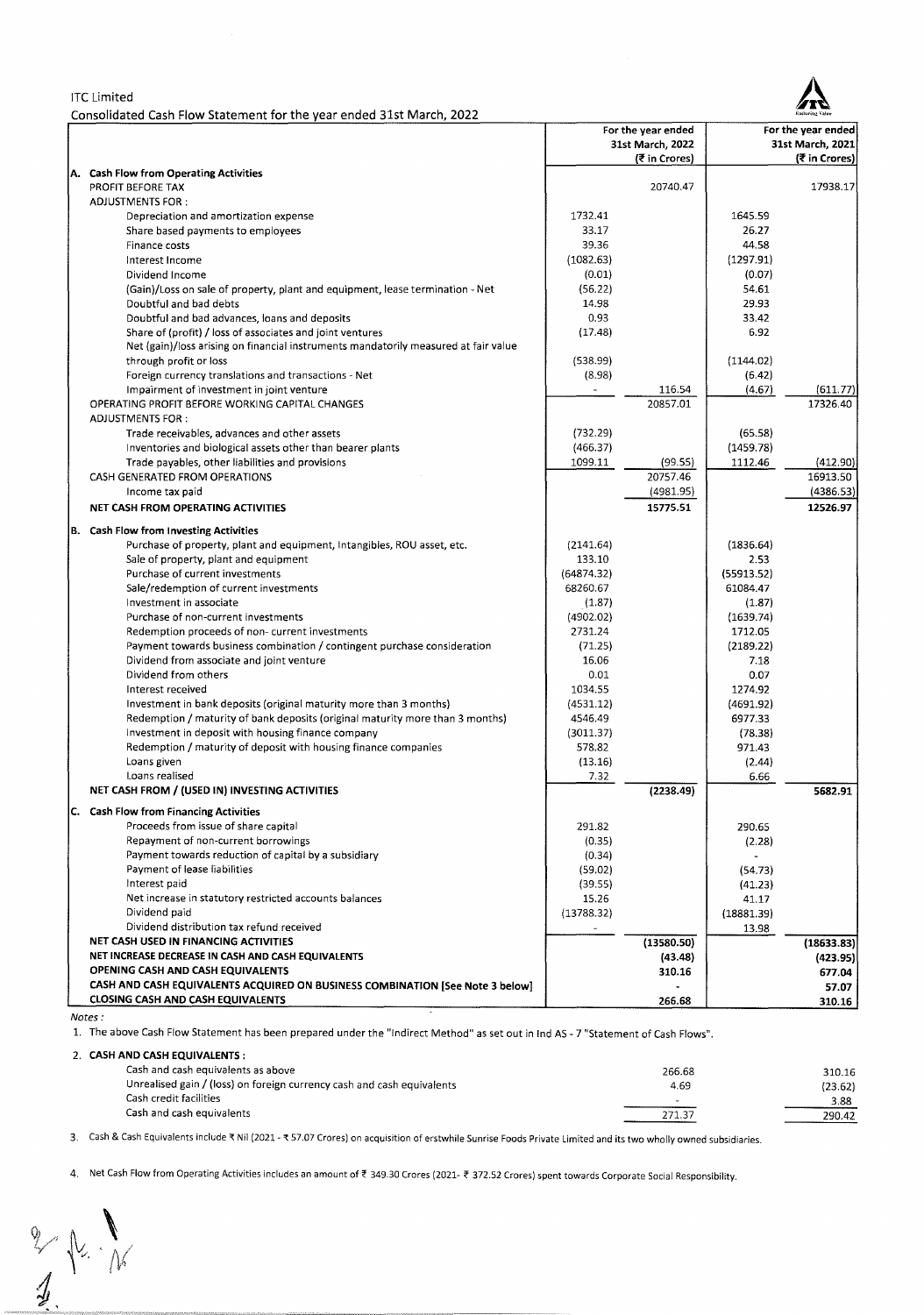## ITC Limited

Consolidated Cash Flow Statement for the year ended 31st March, 2022



|                                                                                                            |                     | For the year ended |                | For the year ended     |
|------------------------------------------------------------------------------------------------------------|---------------------|--------------------|----------------|------------------------|
|                                                                                                            |                     | 31st March, 2022   |                | 31st March, 2021       |
|                                                                                                            |                     | (₹ in Crores)      |                | (₹ in Crores)          |
| A. Cash Flow from Operating Activities                                                                     |                     |                    |                |                        |
| PROFIT BEFORE TAX                                                                                          |                     | 20740.47           |                | 17938.17               |
| <b>ADJUSTMENTS FOR:</b>                                                                                    |                     |                    |                |                        |
| Depreciation and amortization expense                                                                      | 1732.41             |                    | 1645.59        |                        |
| Share based payments to employees                                                                          | 33.17               |                    | 26.27          |                        |
| Finance costs                                                                                              | 39.36               |                    | 44.58          |                        |
| Interest Income                                                                                            | (1082.63)           |                    | (1297.91)      |                        |
| Dividend Income                                                                                            | (0.01)              |                    | (0.07)         |                        |
| (Gain)/Loss on sale of property, plant and equipment, lease termination - Net                              | (56.22)             |                    | 54.61          |                        |
| Doubtful and bad debts                                                                                     | 14.98<br>0.93       |                    | 29.93<br>33.42 |                        |
| Doubtful and bad advances, loans and deposits<br>Share of (profit) / loss of associates and joint ventures | (17.48)             |                    | 6.92           |                        |
| Net (gain)/loss arising on financial instruments mandatorily measured at fair value                        |                     |                    |                |                        |
| through profit or loss                                                                                     | (538.99)            |                    | (1144.02)      |                        |
| Foreign currency translations and transactions - Net                                                       | (8.98)              |                    | (6.42)         |                        |
| Impairment of investment in joint venture                                                                  | $\blacksquare$      | 116.54             | (4.67)         | (611.77)               |
| OPERATING PROFIT BEFORE WORKING CAPITAL CHANGES                                                            |                     | 20857.01           |                | 17326.40               |
| <b>ADJUSTMENTS FOR:</b>                                                                                    |                     |                    |                |                        |
| Trade receivables, advances and other assets                                                               | (732.29)            |                    | (65.58)        |                        |
| Inventories and biological assets other than bearer plants                                                 | (466.37)            |                    | (1459.78)      |                        |
| Trade payables, other liabilities and provisions                                                           | 1099.11             | (99.55)            | 1112.46        | (412.90)               |
| CASH GENERATED FROM OPERATIONS                                                                             |                     | 20757.46           |                | 16913.50               |
| Income tax paid                                                                                            |                     | (4981.95)          |                | (4386.53)              |
| NET CASH FROM OPERATING ACTIVITIES                                                                         |                     | 15775.51           |                | 12526.97               |
|                                                                                                            |                     |                    |                |                        |
| <b>B.</b> Cash Flow from Investing Activities                                                              |                     |                    |                |                        |
| Purchase of property, plant and equipment, Intangibles, ROU asset, etc.                                    | (2141.64)           |                    | (1836.64)      |                        |
| Sale of property, plant and equipment                                                                      | 133.10              |                    | 2.53           |                        |
| Purchase of current investments                                                                            | (64874.32)          |                    | (55913.52)     |                        |
| Sale/redemption of current investments                                                                     | 68260.67            |                    | 61084.47       |                        |
| Investment in associate                                                                                    | (1.87)              |                    | (1.87)         |                        |
| Purchase of non-current investments                                                                        | (4902.02)           |                    | (1639.74)      |                        |
| Redemption proceeds of non-current investments                                                             | 2731.24             |                    | 1712.05        |                        |
| Payment towards business combination / contingent purchase consideration                                   | (71.25)<br>16.06    |                    | (2189.22)      |                        |
| Dividend from associate and joint venture<br>Dividend from others                                          | 0.01                |                    | 7.18<br>0.07   |                        |
| Interest received                                                                                          | 1034.55             |                    | 1274.92        |                        |
| Investment in bank deposits (original maturity more than 3 months)                                         | (4531.12)           |                    | (4691.92)      |                        |
| Redemption / maturity of bank deposits (original maturity more than 3 months)                              | 4546.49             |                    | 6977.33        |                        |
| Investment in deposit with housing finance company                                                         | (3011.37)           |                    | (78.38)        |                        |
| Redemption / maturity of deposit with housing finance companies                                            | 578.82              |                    | 971.43         |                        |
| Loans given                                                                                                | (13.16)             |                    | (2.44)         |                        |
| Loans realised                                                                                             | 7.32                |                    | 6.66           |                        |
| NET CASH FROM / (USED IN) INVESTING ACTIVITIES                                                             |                     | (2238.49)          |                | 5682.91                |
|                                                                                                            |                     |                    |                |                        |
| C. Cash Flow from Financing Activities                                                                     |                     |                    |                |                        |
| Proceeds from issue of share capital                                                                       | 291.82              |                    | 290.65         |                        |
| Repayment of non-current borrowings                                                                        | (0.35)              |                    | (2.28)         |                        |
| Payment towards reduction of capital by a subsidiary                                                       | (0.34)              |                    |                |                        |
| Payment of lease liabilities<br>Interest paid                                                              | (59.02)             |                    | (54.73)        |                        |
| Net increase in statutory restricted accounts balances                                                     | (39.55)             |                    | (41.23)        |                        |
| Dividend paid                                                                                              | 15.26<br>(13788.32) |                    | 41.17          |                        |
| Dividend distribution tax refund received                                                                  |                     |                    | (18881.39)     |                        |
| NET CASH USED IN FINANCING ACTIVITIES                                                                      |                     | (13580.50)         | 13.98          |                        |
| NET INCREASE DECREASE IN CASH AND CASH EQUIVALENTS                                                         |                     |                    |                | (18633.83)<br>(423.95) |
| OPENING CASH AND CASH EQUIVALENTS                                                                          |                     | (43.48)<br>310.16  |                | 677.04                 |
| CASH AND CASH EQUIVALENTS ACQUIRED ON BUSINESS COMBINATION [See Note 3 below]                              |                     |                    |                | 57.07                  |
| <b>CLOSING CASH AND CASH EQUIVALENTS</b>                                                                   |                     | 266.68             |                | 310.16                 |
|                                                                                                            |                     |                    |                |                        |

Notes:

1. The above Cash Flow Statement has been prepared under the "Indirect Method" as set out in Ind AS - 7 "Statement of Cash Flows".

## 2. **CASH AND CASH EQUIVALENTS:**

| Cash and cash equivalents as above                                     | 266.68 | 310.16  |  |  |  |  |
|------------------------------------------------------------------------|--------|---------|--|--|--|--|
| Unrealised gain / (loss) on foreign currency cash and cash equivalents | 4.69   | (23.62) |  |  |  |  |
| Cash credit facilities                                                 |        | 3.88    |  |  |  |  |
| Cash and cash equivalents                                              | 271.37 | 290.42  |  |  |  |  |
|                                                                        |        |         |  |  |  |  |

3. Cash & Cash Equivalents include ₹ Nil (2021 - ₹ 57.07 Crores) on acquisition of erstwhile Sunrise Foods Private Limited and its two wholly owned subsidiaries.

4. Net Cash Flow from Operating Activities includes an amount of ₹ 349.30 Crores (2021- ₹ 372.52 Crores) spent towards Corporate Social Responsibility.  $\frac{2}{4}$   $\frac{1}{4}$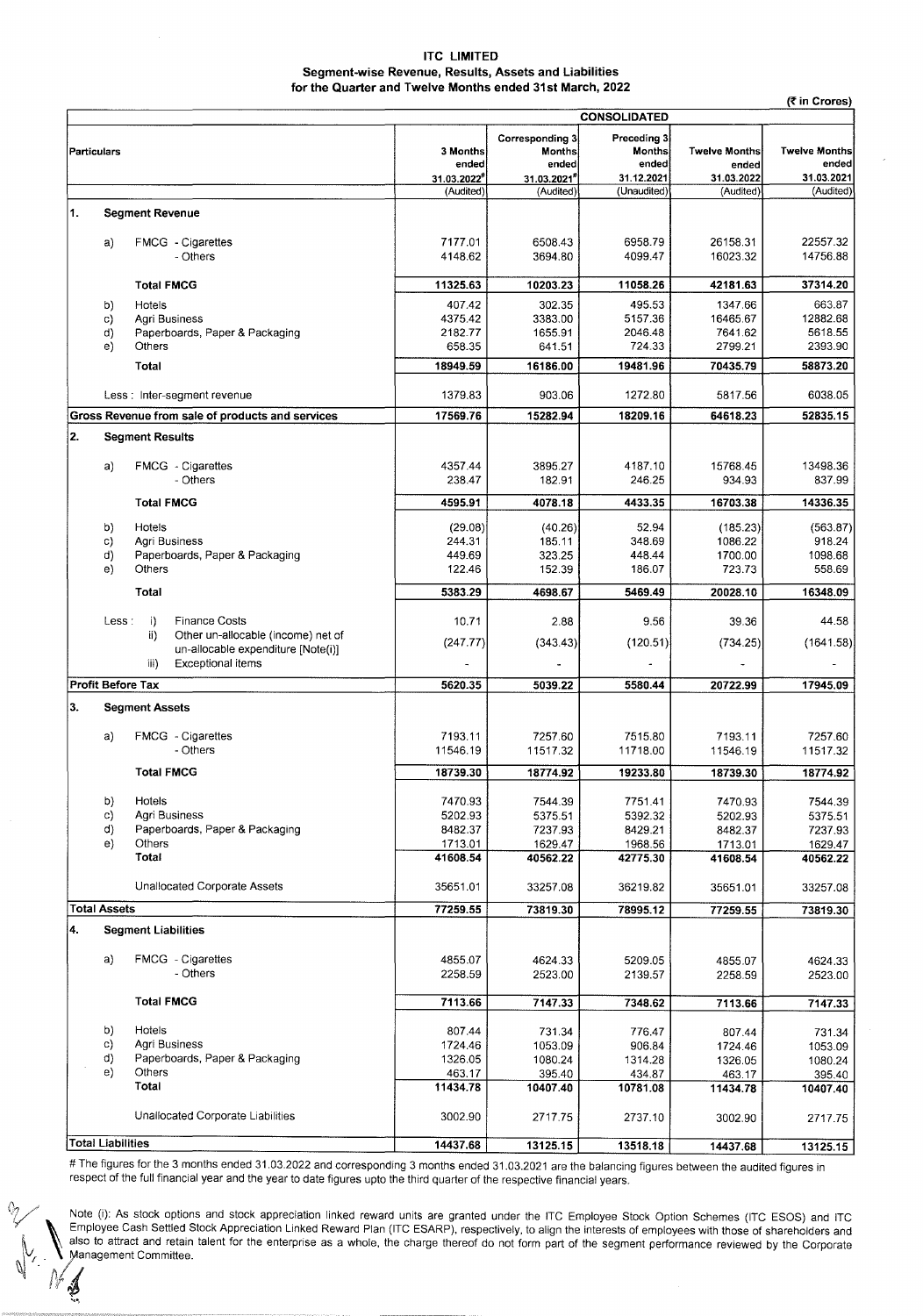## **ITC LIMITED Segment-wise Revenue, Results, Assets and Liabilities for the Quarter and Twelve Months ended 31st March, 2022**

|                     |                          |                                                                                 |                                                         |                                              |                                             |                                             | (₹ in Crores)        |
|---------------------|--------------------------|---------------------------------------------------------------------------------|---------------------------------------------------------|----------------------------------------------|---------------------------------------------|---------------------------------------------|----------------------|
| <b>CONSOLIDATED</b> |                          |                                                                                 |                                                         |                                              |                                             |                                             |                      |
| <b>Particulars</b>  |                          | 3 Months<br>ended<br>31.03.2022*                                                | Corresponding 3<br><b>Months</b><br>ended<br>31.03.2021 | Preceding 3<br>Months<br>ended<br>31.12.2021 | <b>Twelve Months</b><br>ended<br>31.03.2022 | <b>Twelve Months</b><br>ended<br>31.03.2021 |                      |
|                     |                          |                                                                                 | (Audited)                                               | (Audited)                                    | (Unaudited)                                 | (Audited)                                   | (Audited)            |
| 1.                  |                          | <b>Segment Revenue</b>                                                          |                                                         |                                              |                                             |                                             |                      |
|                     | a)                       | FMCG - Cigarettes<br>- Others                                                   | 7177.01<br>4148.62                                      | 6508.43<br>3694.80                           | 6958.79<br>4099.47                          | 26158.31<br>16023.32                        | 22557.32<br>14756.88 |
|                     |                          | <b>Total FMCG</b>                                                               | 11325.63                                                | 10203.23                                     | 11058.26                                    | 42181.63                                    | 37314.20             |
|                     | b)                       | Hotels                                                                          | 407.42                                                  | 302.35                                       | 495.53                                      | 1347.66                                     | 663.87               |
|                     | C)                       | Agri Business                                                                   | 4375.42                                                 | 3383.00                                      | 5157.36                                     | 16465.67                                    | 12882.68             |
|                     | d)<br>e)                 | Paperboards, Paper & Packaging<br>Others                                        | 2182.77                                                 | 1655.91                                      | 2046.48<br>724.33                           | 7641.62                                     | 5618.55              |
|                     |                          |                                                                                 | 658.35                                                  | 641.51                                       |                                             | 2799.21                                     | 2393.90              |
|                     |                          | Total                                                                           | 18949.59                                                | 16186.00                                     | 19481.96                                    | 70435.79                                    | 58873.20             |
|                     |                          | Less : Inter-segment revenue                                                    | 1379.83                                                 | 903.06                                       | 1272.80                                     | 5817.56                                     | 6038.05              |
|                     |                          | Gross Revenue from sale of products and services                                | 17569.76                                                | 15282.94                                     | 18209.16                                    | 64618.23                                    | 52835.15             |
| 2.                  |                          | <b>Segment Results</b>                                                          |                                                         |                                              |                                             |                                             |                      |
|                     | a)                       | FMCG - Cigarettes                                                               | 4357.44                                                 | 3895.27                                      | 4187.10                                     | 15768.45                                    | 13498.36             |
|                     |                          | - Others                                                                        | 238.47                                                  | 182.91                                       | 246.25                                      | 934.93                                      | 837.99               |
|                     |                          | <b>Total FMCG</b>                                                               | 4595.91                                                 | 4078.18                                      | 4433.35                                     | 16703.38                                    | 14336.35             |
|                     | b)                       | <b>Hotels</b>                                                                   | (29.08)                                                 | (40.26)                                      | 52.94                                       | (185.23)                                    | (563.87)             |
|                     | c)                       | Agri Business                                                                   | 244.31                                                  | 185.11                                       | 348.69                                      | 1086.22                                     | 918.24               |
|                     | d)                       | Paperboards, Paper & Packaging                                                  | 449.69                                                  | 323.25                                       | 448.44                                      | 1700.00                                     | 1098.68              |
|                     | e)                       | Others                                                                          | 122.46                                                  | 152.39                                       | 186.07                                      | 723.73                                      | 558.69               |
|                     |                          | Total                                                                           | 5383.29                                                 | 4698.67                                      | 5469.49                                     | 20028.10                                    | 16348.09             |
|                     | Less:                    | $\ddot{1}$<br><b>Finance Costs</b><br>ii)<br>Other un-allocable (income) net of | 10.71                                                   | 2.88                                         | 9.56                                        | 39.36                                       | 44.58                |
|                     |                          | un-allocable expenditure [Note(i)]<br><b>Exceptional items</b><br>iii)          | (247.77)                                                | (343.43)                                     | (120.51)                                    | (734.25)                                    | (1641.58)            |
|                     | <b>Profit Before Tax</b> |                                                                                 | 5620.35                                                 | 5039.22                                      | 5580.44                                     | 20722.99                                    | 17945.09             |
| 3.                  |                          | <b>Segment Assets</b>                                                           |                                                         |                                              |                                             |                                             |                      |
|                     |                          |                                                                                 |                                                         |                                              |                                             |                                             |                      |
|                     | a)                       | FMCG - Cigarettes<br>- Others                                                   | 7193.11<br>11546.19                                     | 7257.60<br>1151732                           | 7515.80<br>11718.00                         | 7193.11<br>11546.19                         | 7257.60<br>11517.32  |
|                     |                          | <b>Total FMCG</b>                                                               | 18739.30                                                | 18774.92                                     | 19233.80                                    | 18739.30                                    | 18774.92             |
|                     |                          |                                                                                 |                                                         |                                              |                                             |                                             |                      |
|                     | b)                       | Hotels                                                                          | 7470.93                                                 | 7544.39                                      | 7751.41                                     | 7470.93                                     | 7544.39              |
|                     | c)<br>d)                 | Agri Business<br>Paperboards, Paper & Packaging                                 | 5202.93<br>8482.37                                      | 5375.51<br>7237.93                           | 5392.32<br>8429.21                          | 5202.93<br>8482.37                          | 5375.51<br>7237.93   |
|                     | e)                       | Others                                                                          | 1713.01                                                 | 1629.47                                      | 1968.56                                     | 1713.01                                     | 1629.47              |
|                     |                          | Total                                                                           | 41608.54                                                | 40562.22                                     | 42775.30                                    | 41608.54                                    | 40562.22             |
|                     |                          | Unallocated Corporate Assets                                                    | 35651.01                                                | 33257.08                                     | 36219.82                                    | 35651.01                                    | 33257.08             |
|                     | <b>Total Assets</b>      |                                                                                 | 77259.55                                                | 73819.30                                     | 78995.12                                    | 77259.55                                    | 73819.30             |
| 4.                  |                          | <b>Segment Liabilities</b>                                                      |                                                         |                                              |                                             |                                             |                      |
|                     | a)                       | FMCG - Cigarettes                                                               | 4855.07                                                 | 4624.33                                      | 5209.05                                     | 4855.07                                     | 4624.33              |
|                     |                          | - Others                                                                        | 2258.59                                                 | 2523.00                                      | 2139.57                                     | 2258.59                                     | 2523.00              |
|                     |                          | <b>Total FMCG</b>                                                               | 7113.66                                                 | 7147.33                                      | 7348.62                                     | 7113.66                                     | 7147.33              |
|                     | b)                       | Hotels                                                                          | 807.44                                                  | 731.34                                       | 776.47                                      | 807.44                                      | 731.34               |
|                     | c)                       | Agri Business                                                                   | 1724.46                                                 | 1053.09                                      | 906.84                                      | 1724.46                                     | 1053.09              |
|                     | d)                       | Paperboards, Paper & Packaging                                                  | 1326.05                                                 | 1080.24                                      | 1314.28                                     | 1326.05                                     | 1080.24              |
|                     | e)                       | Others<br>Total                                                                 | 463.17<br>11434.78                                      | 395.40<br>10407.40                           | 434.87<br>10781.08                          | 463.17<br>11434.78                          | 395.40<br>10407.40   |
|                     |                          | Unallocated Corporate Liabilities                                               | 3002.90                                                 | 2717.75                                      | 2737.10                                     | 3002.90                                     | 2717.75              |
|                     | <b>Total Liabilities</b> |                                                                                 |                                                         |                                              |                                             |                                             |                      |
|                     |                          |                                                                                 | 14437.68                                                | 13125.15                                     | 13518.18                                    | 14437.68                                    | 13125.15             |

# The figures for the 3 months ended 31.03.2022 and corresponding 3 months ended 31.03.2021 are the balancing figures between the audited figures in respect of the full financial year and the year to date figures upto the third quarter of the respective financial years.

 $\bigcirc$  $N$  ,  $\mathcal{J}$ 

Note (i): As stock options and stock appreciation linked reward units are granted under the ITC Employee Stock Option Schemes (ITC ESOS) and ITC **N** Employee Cash Settled Stock Appreciation Linked Reward Plan (ITC ESARP), respectively, to align the interests of employees with those of shareholders and  $\parallel$   $\parallel$  also to attract and retain talent for the enterprise as a whole, the charge thereof do not form part of the segment performance reviewed by the Corporate *~vr\_* . /.anagement Committee.